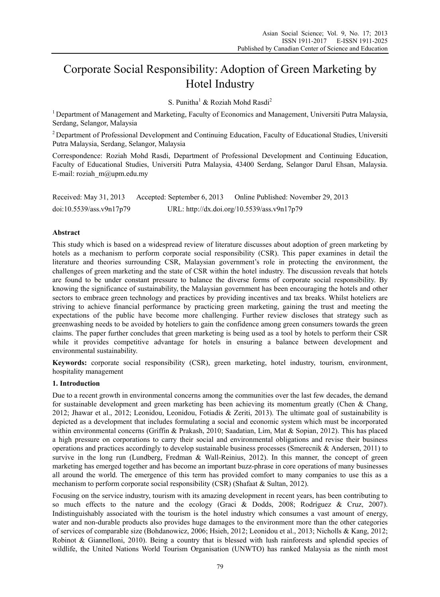# Corporate Social Responsibility: Adoption of Green Marketing by Hotel Industry

S. Punitha<sup>1</sup> & Roziah Mohd Rasdi<sup>2</sup>

<sup>1</sup> Department of Management and Marketing, Faculty of Economics and Management, Universiti Putra Malaysia, Serdang, Selangor, Malaysia

<sup>2</sup> Department of Professional Development and Continuing Education, Faculty of Educational Studies, Universiti Putra Malaysia, Serdang, Selangor, Malaysia

Correspondence: Roziah Mohd Rasdi, Department of Professional Development and Continuing Education, Faculty of Educational Studies, Universiti Putra Malaysia, 43400 Serdang, Selangor Darul Ehsan, Malaysia. E-mail: roziah  $m@$ upm.edu.my

Received: May 31, 2013 Accepted: September 6, 2013 Online Published: November 29, 2013 doi:10.5539/ass.v9n17p79 URL: http://dx.doi.org/10.5539/ass.v9n17p79

# **Abstract**

This study which is based on a widespread review of literature discusses about adoption of green marketing by hotels as a mechanism to perform corporate social responsibility (CSR). This paper examines in detail the literature and theories surrounding CSR, Malaysian government's role in protecting the environment, the challenges of green marketing and the state of CSR within the hotel industry. The discussion reveals that hotels are found to be under constant pressure to balance the diverse forms of corporate social responsibility. By knowing the significance of sustainability, the Malaysian government has been encouraging the hotels and other sectors to embrace green technology and practices by providing incentives and tax breaks. Whilst hoteliers are striving to achieve financial performance by practicing green marketing, gaining the trust and meeting the expectations of the public have become more challenging. Further review discloses that strategy such as greenwashing needs to be avoided by hoteliers to gain the confidence among green consumers towards the green claims. The paper further concludes that green marketing is being used as a tool by hotels to perform their CSR while it provides competitive advantage for hotels in ensuring a balance between development and environmental sustainability.

**Keywords:** corporate social responsibility (CSR), green marketing, hotel industry, tourism, environment, hospitality management

# **1. Introduction**

Due to a recent growth in environmental concerns among the communities over the last few decades, the demand for sustainable development and green marketing has been achieving its momentum greatly (Chen & Chang, 2012; Jhawar et al., 2012; Leonidou, Leonidou, Fotiadis & Zeriti, 2013). The ultimate goal of sustainability is depicted as a development that includes formulating a social and economic system which must be incorporated within environmental concerns (Griffin & Prakash, 2010; Saadatian, Lim, Mat & Sopian, 2012). This has placed a high pressure on corporations to carry their social and environmental obligations and revise their business operations and practices accordingly to develop sustainable business processes (Smerecnik & Andersen, 2011) to survive in the long run (Lundberg, Fredman & Wall-Reinius, 2012). In this manner, the concept of green marketing has emerged together and has become an important buzz-phrase in core operations of many businesses all around the world. The emergence of this term has provided comfort to many companies to use this as a mechanism to perform corporate social responsibility (CSR) (Shafaat & Sultan, 2012).

Focusing on the service industry, tourism with its amazing development in recent years, has been contributing to so much effects to the nature and the ecology (Graci & Dodds, 2008; Rodríguez & Cruz, 2007). Indistinguishably associated with the tourism is the hotel industry which consumes a vast amount of energy, water and non-durable products also provides huge damages to the environment more than the other categories of services of comparable size (Bohdanowicz, 2006; Hsieh, 2012; Leonidou et al., 2013; Nicholls & Kang, 2012; Robinot & Giannelloni, 2010). Being a country that is blessed with lush rainforests and splendid species of wildlife, the United Nations World Tourism Organisation (UNWTO) has ranked Malaysia as the ninth most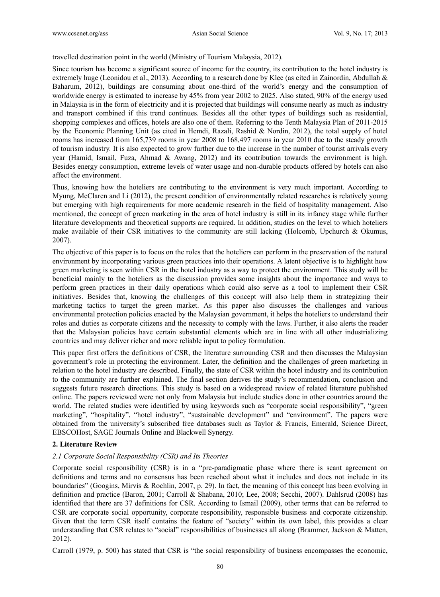travelled destination point in the world (Ministry of Tourism Malaysia, 2012).

Since tourism has become a significant source of income for the country, its contribution to the hotel industry is extremely huge (Leonidou et al., 2013). According to a research done by Klee (as cited in Zainordin, Abdullah & Baharum, 2012), buildings are consuming about one-third of the world's energy and the consumption of worldwide energy is estimated to increase by 45% from year 2002 to 2025. Also stated, 90% of the energy used in Malaysia is in the form of electricity and it is projected that buildings will consume nearly as much as industry and transport combined if this trend continues. Besides all the other types of buildings such as residential, shopping complexes and offices, hotels are also one of them. Referring to the Tenth Malaysia Plan of 2011-2015 by the Economic Planning Unit (as cited in Hemdi, Razali, Rashid & Nordin, 2012), the total supply of hotel rooms has increased from 165,739 rooms in year 2008 to 168,497 rooms in year 2010 due to the steady growth of tourism industry. It is also expected to grow further due to the increase in the number of tourist arrivals every year (Hamid, Ismail, Fuza, Ahmad & Awang, 2012) and its contribution towards the environment is high. Besides energy consumption, extreme levels of water usage and non-durable products offered by hotels can also affect the environment.

Thus, knowing how the hoteliers are contributing to the environment is very much important. According to Myung, McClaren and Li (2012), the present condition of environmentally related researches is relatively young but emerging with high requirements for more academic research in the field of hospitality management. Also mentioned, the concept of green marketing in the area of hotel industry is still in its infancy stage while further literature developments and theoretical supports are required. In addition, studies on the level to which hoteliers make available of their CSR initiatives to the community are still lacking (Holcomb, Upchurch & Okumus, 2007).

The objective of this paper is to focus on the roles that the hoteliers can perform in the preservation of the natural environment by incorporating various green practices into their operations. A latent objective is to highlight how green marketing is seen within CSR in the hotel industry as a way to protect the environment. This study will be beneficial mainly to the hoteliers as the discussion provides some insights about the importance and ways to perform green practices in their daily operations which could also serve as a tool to implement their CSR initiatives. Besides that, knowing the challenges of this concept will also help them in strategizing their marketing tactics to target the green market. As this paper also discusses the challenges and various environmental protection policies enacted by the Malaysian government, it helps the hoteliers to understand their roles and duties as corporate citizens and the necessity to comply with the laws. Further, it also alerts the reader that the Malaysian policies have certain substantial elements which are in line with all other industrializing countries and may deliver richer and more reliable input to policy formulation.

This paper first offers the definitions of CSR, the literature surrounding CSR and then discusses the Malaysian government's role in protecting the environment. Later, the definition and the challenges of green marketing in relation to the hotel industry are described. Finally, the state of CSR within the hotel industry and its contribution to the community are further explained. The final section derives the study's recommendation, conclusion and suggests future research directions. This study is based on a widespread review of related literature published online. The papers reviewed were not only from Malaysia but include studies done in other countries around the world. The related studies were identified by using keywords such as "corporate social responsibility", "green marketing", "hospitality", "hotel industry", "sustainable development" and "environment". The papers were obtained from the university's subscribed free databases such as Taylor & Francis, Emerald, Science Direct, EBSCOHost, SAGE Journals Online and Blackwell Synergy.

# **2. Literature Review**

# *2.1 Corporate Social Responsibility (CSR) and Its Theories*

Corporate social responsibility (CSR) is in a "pre-paradigmatic phase where there is scant agreement on definitions and terms and no consensus has been reached about what it includes and does not include in its boundaries" (Googins, Mirvis & Rochlin, 2007, p. 29). In fact, the meaning of this concept has been evolving in definition and practice (Baron, 2001; Carroll & Shabana, 2010; Lee, 2008; Secchi, 2007). Dahlsrud (2008) has identified that there are 37 definitions for CSR. According to Ismail (2009), other terms that can be referred to CSR are corporate social opportunity, corporate responsibility, responsible business and corporate citizenship. Given that the term CSR itself contains the feature of "society" within its own label, this provides a clear understanding that CSR relates to "social" responsibilities of businesses all along (Brammer, Jackson & Matten, 2012).

Carroll (1979, p. 500) has stated that CSR is "the social responsibility of business encompasses the economic,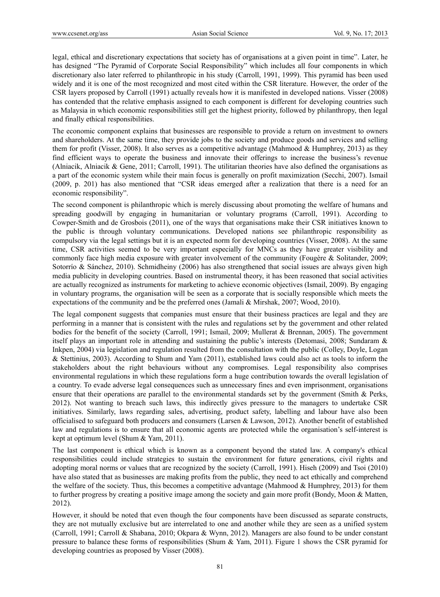legal, ethical and discretionary expectations that society has of organisations at a given point in time". Later, he has designed "The Pyramid of Corporate Social Responsibility" which includes all four components in which discretionary also later referred to philanthropic in his study (Carroll, 1991, 1999). This pyramid has been used widely and it is one of the most recognized and most cited within the CSR literature. However, the order of the CSR layers proposed by Carroll (1991) actually reveals how it is manifested in developed nations. Visser (2008) has contended that the relative emphasis assigned to each component is different for developing countries such as Malaysia in which economic responsibilities still get the highest priority, followed by philanthropy, then legal and finally ethical responsibilities.

The economic component explains that businesses are responsible to provide a return on investment to owners and shareholders. At the same time, they provide jobs to the society and produce goods and services and selling them for profit (Visser, 2008). It also serves as a competitive advantage (Mahmood & Humphrey, 2013) as they find efficient ways to operate the business and innovate their offerings to increase the business's revenue (Alniacik, Alniacik & Gene, 2011; Carroll, 1991). The utilitarian theories have also defined the organisations as a part of the economic system while their main focus is generally on profit maximization (Secchi, 2007). Ismail (2009, p. 201) has also mentioned that "CSR ideas emerged after a realization that there is a need for an economic responsibility".

The second component is philanthropic which is merely discussing about promoting the welfare of humans and spreading goodwill by engaging in humanitarian or voluntary programs (Carroll, 1991). According to Cowper-Smith and de Grosbois (2011), one of the ways that organisations make their CSR initiatives known to the public is through voluntary communications. Developed nations see philanthropic responsibility as compulsory via the legal settings but it is an expected norm for developing countries (Visser, 2008). At the same time, CSR activities seemed to be very important especially for MNCs as they have greater visibility and commonly face high media exposure with greater involvement of the community (Fougère & Solitander, 2009; Sotorrío & Sánchez, 2010). Schmidheiny (2006) has also strengthened that social issues are always given high media publicity in developing countries. Based on instrumental theory, it has been reasoned that social activities are actually recognized as instruments for marketing to achieve economic objectives (Ismail, 2009). By engaging in voluntary programs, the organisation will be seen as a corporate that is socially responsible which meets the expectations of the community and be the preferred ones (Jamali & Mirshak, 2007; Wood, 2010).

The legal component suggests that companies must ensure that their business practices are legal and they are performing in a manner that is consistent with the rules and regulations set by the government and other related bodies for the benefit of the society (Carroll, 1991; Ismail, 2009; Mullerat & Brennan, 2005). The government itself plays an important role in attending and sustaining the public's interests (Detomasi, 2008; Sundaram & Inkpen, 2004) via legislation and regulation resulted from the consultation with the public (Colley, Doyle, Logan & Stettinius, 2003). According to Shum and Yam (2011), established laws could also act as tools to inform the stakeholders about the right behaviours without any compromises. Legal responsibility also comprises environmental regulations in which these regulations form a huge contribution towards the overall legislation of a country. To evade adverse legal consequences such as unnecessary fines and even imprisonment, organisations ensure that their operations are parallel to the environmental standards set by the government (Smith & Perks, 2012). Not wanting to breach such laws, this indirectly gives pressure to the managers to undertake CSR initiatives. Similarly, laws regarding sales, advertising, product safety, labelling and labour have also been officialised to safeguard both producers and consumers (Larsen & Lawson, 2012). Another benefit of established law and regulations is to ensure that all economic agents are protected while the organisation's self-interest is kept at optimum level (Shum & Yam, 2011).

The last component is ethical which is known as a component beyond the stated law. A company's ethical responsibilities could include strategies to sustain the environment for future generations, civil rights and adopting moral norms or values that are recognized by the society (Carroll, 1991). Hiseh (2009) and Tsoi (2010) have also stated that as businesses are making profits from the public, they need to act ethically and comprehend the welfare of the society. Thus, this becomes a competitive advantage (Mahmood & Humphrey, 2013) for them to further progress by creating a positive image among the society and gain more profit (Bondy, Moon & Matten, 2012).

However, it should be noted that even though the four components have been discussed as separate constructs, they are not mutually exclusive but are interrelated to one and another while they are seen as a unified system (Carroll, 1991; Carroll & Shabana, 2010; Okpara & Wynn, 2012). Managers are also found to be under constant pressure to balance these forms of responsibilities (Shum & Yam, 2011). Figure 1 shows the CSR pyramid for developing countries as proposed by Visser (2008).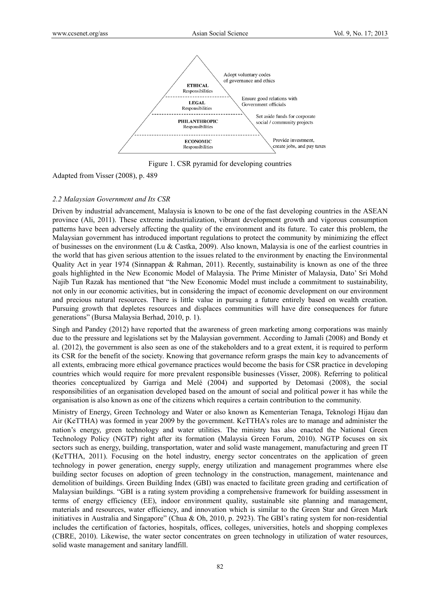

Figure 1. CSR pyramid for developing countries

Adapted from Visser (2008), p. 489

#### *2.2 Malaysian Government and Its CSR*

Driven by industrial advancement, Malaysia is known to be one of the fast developing countries in the ASEAN province (Ali, 2011). These extreme industrialization, vibrant development growth and vigorous consumption patterns have been adversely affecting the quality of the environment and its future. To cater this problem, the Malaysian government has introduced important regulations to protect the community by minimizing the effect of businesses on the environment (Lu & Castka, 2009). Also known, Malaysia is one of the earliest countries in the world that has given serious attention to the issues related to the environment by enacting the Environmental Quality Act in year 1974 (Sinnappan & Rahman, 2011). Recently, sustainability is known as one of the three goals highlighted in the New Economic Model of Malaysia. The Prime Minister of Malaysia, Dato' Sri Mohd Najib Tun Razak has mentioned that "the New Economic Model must include a commitment to sustainability, not only in our economic activities, but in considering the impact of economic development on our environment and precious natural resources. There is little value in pursuing a future entirely based on wealth creation. Pursuing growth that depletes resources and displaces communities will have dire consequences for future generations" (Bursa Malaysia Berhad, 2010, p. 1).

Singh and Pandey (2012) have reported that the awareness of green marketing among corporations was mainly due to the pressure and legislations set by the Malaysian government. According to Jamali (2008) and Bondy et al. (2012), the government is also seen as one of the stakeholders and to a great extent, it is required to perform its CSR for the benefit of the society. Knowing that governance reform grasps the main key to advancements of all extents, embracing more ethical governance practices would become the basis for CSR practice in developing countries which would require for more prevalent responsible businesses (Visser, 2008). Referring to political theories conceptualized by Garriga and Melé (2004) and supported by Detomasi (2008), the social responsibilities of an organisation developed based on the amount of social and political power it has while the organisation is also known as one of the citizens which requires a certain contribution to the community.

Ministry of Energy, Green Technology and Water or also known as Kementerian Tenaga, Teknologi Hijau dan Air (KeTTHA) was formed in year 2009 by the government. KeTTHA's roles are to manage and administer the nation's energy, green technology and water utilities. The ministry has also enacted the National Green Technology Policy (NGTP) right after its formation (Malaysia Green Forum, 2010). NGTP focuses on six sectors such as energy, building, transportation, water and solid waste management, manufacturing and green IT (KeTTHA, 2011). Focusing on the hotel industry, energy sector concentrates on the application of green technology in power generation, energy supply, energy utilization and management programmes where else building sector focuses on adoption of green technology in the construction, management, maintenance and demolition of buildings. Green Building Index (GBI) was enacted to facilitate green grading and certification of Malaysian buildings. "GBI is a rating system providing a comprehensive framework for building assessment in terms of energy efficiency (EE), indoor environment quality, sustainable site planning and management, materials and resources, water efficiency, and innovation which is similar to the Green Star and Green Mark initiatives in Australia and Singapore" (Chua & Oh, 2010, p. 2923). The GBI's rating system for non-residential includes the certification of factories, hospitals, offices, colleges, universities, hotels and shopping complexes (CBRE, 2010). Likewise, the water sector concentrates on green technology in utilization of water resources, solid waste management and sanitary landfill.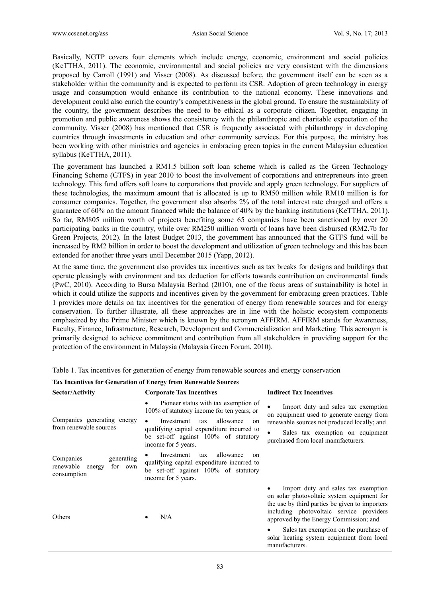Basically, NGTP covers four elements which include energy, economic, environment and social policies (KeTTHA, 2011). The economic, environmental and social policies are very consistent with the dimensions proposed by Carroll (1991) and Visser (2008). As discussed before, the government itself can be seen as a stakeholder within the community and is expected to perform its CSR. Adoption of green technology in energy usage and consumption would enhance its contribution to the national economy. These innovations and development could also enrich the country's competitiveness in the global ground. To ensure the sustainability of the country, the government describes the need to be ethical as a corporate citizen. Together, engaging in promotion and public awareness shows the consistency with the philanthropic and charitable expectation of the community. Visser (2008) has mentioned that CSR is frequently associated with philanthropy in developing countries through investments in education and other community services. For this purpose, the ministry has been working with other ministries and agencies in embracing green topics in the current Malaysian education syllabus (KeTTHA, 2011).

The government has launched a RM1.5 billion soft loan scheme which is called as the Green Technology Financing Scheme (GTFS) in year 2010 to boost the involvement of corporations and entrepreneurs into green technology. This fund offers soft loans to corporations that provide and apply green technology. For suppliers of these technologies, the maximum amount that is allocated is up to RM50 million while RM10 million is for consumer companies. Together, the government also absorbs 2% of the total interest rate charged and offers a guarantee of 60% on the amount financed while the balance of 40% by the banking institutions (KeTTHA, 2011). So far, RM805 million worth of projects benefiting some 65 companies have been sanctioned by over 20 participating banks in the country, while over RM250 million worth of loans have been disbursed (RM2.7b for Green Projects, 2012). In the latest Budget 2013, the government has announced that the GTFS fund will be increased by RM2 billion in order to boost the development and utilization of green technology and this has been extended for another three years until December 2015 (Yapp, 2012).

At the same time, the government also provides tax incentives such as tax breaks for designs and buildings that operate pleasingly with environment and tax deduction for efforts towards contribution on environmental funds (PwC, 2010). According to Bursa Malaysia Berhad (2010), one of the focus areas of sustainability is hotel in which it could utilize the supports and incentives given by the government for embracing green practices. Table 1 provides more details on tax incentives for the generation of energy from renewable sources and for energy conservation. To further illustrate, all these approaches are in line with the holistic ecosystem components emphasized by the Prime Minister which is known by the acronym AFFIRM. AFFIRM stands for Awareness, Faculty, Finance, Infrastructure, Research, Development and Commercialization and Marketing. This acronym is primarily designed to achieve commitment and contribution from all stakeholders in providing support for the protection of the environment in Malaysia (Malaysia Green Forum, 2010).

| <b>Tax Incentives for Generation of Energy from Renewable Sources</b> |                                                                                                                                                                                                                                                      |                                                                                                                                                                                                                                                                     |  |  |
|-----------------------------------------------------------------------|------------------------------------------------------------------------------------------------------------------------------------------------------------------------------------------------------------------------------------------------------|---------------------------------------------------------------------------------------------------------------------------------------------------------------------------------------------------------------------------------------------------------------------|--|--|
| <b>Sector/Activity</b>                                                | <b>Corporate Tax Incentives</b>                                                                                                                                                                                                                      | <b>Indirect Tax Incentives</b>                                                                                                                                                                                                                                      |  |  |
| Companies generating energy<br>from renewable sources                 | Pioneer status with tax exemption of<br>$\bullet$<br>100% of statutory income for ten years; or<br>allowance<br>Investment<br>tax<br>on<br>qualifying capital expenditure incurred to<br>be set-off against 100% of statutory<br>income for 5 years. | Import duty and sales tax exemption<br>on equipment used to generate energy from<br>renewable sources not produced locally; and<br>Sales tax exemption on equipment<br>purchased from local manufacturers.                                                          |  |  |
| Companies<br>generating<br>renewable energy<br>for own<br>consumption | allowance<br>Investment<br>tax<br><sub>on</sub><br>qualifying capital expenditure incurred to<br>be set-off against 100% of statutory<br>income for 5 years.                                                                                         |                                                                                                                                                                                                                                                                     |  |  |
| Others                                                                | N/A                                                                                                                                                                                                                                                  | Import duty and sales tax exemption<br>on solar photovoltaic system equipment for<br>the use by third parties be given to importers<br>including photovoltaic service providers<br>approved by the Energy Commission; and<br>Sales tax exemption on the purchase of |  |  |
|                                                                       |                                                                                                                                                                                                                                                      | solar heating system equipment from local<br>manufacturers.                                                                                                                                                                                                         |  |  |

Table 1. Tax incentives for generation of energy from renewable sources and energy conservation

83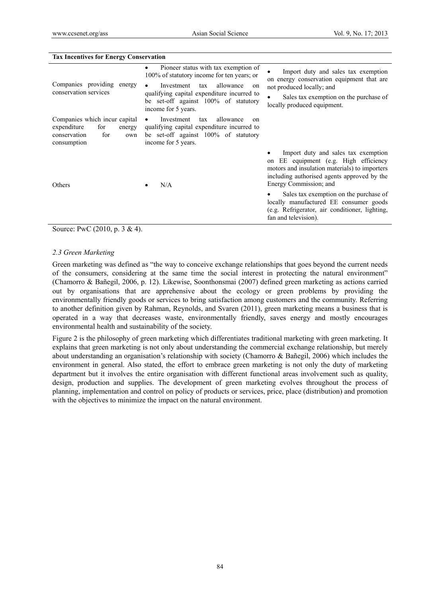| <b>Tax Incentives for Energy Conservation</b>                                                              |                                                                                                                                                                                                                                           |                                                                                                                                                                                                                                                                                                                                                                      |  |  |  |
|------------------------------------------------------------------------------------------------------------|-------------------------------------------------------------------------------------------------------------------------------------------------------------------------------------------------------------------------------------------|----------------------------------------------------------------------------------------------------------------------------------------------------------------------------------------------------------------------------------------------------------------------------------------------------------------------------------------------------------------------|--|--|--|
| Companies providing energy<br>conservation services                                                        | Pioneer status with tax exemption of<br>٠<br>100% of statutory income for ten years; or<br>tax allowance<br>Investment<br>on<br>qualifying capital expenditure incurred to<br>be set-off against 100% of statutory<br>income for 5 years. | Import duty and sales tax exemption<br>on energy conservation equipment that are<br>not produced locally; and<br>Sales tax exemption on the purchase of<br>locally produced equipment.                                                                                                                                                                               |  |  |  |
| Companies which incur capital<br>expenditure<br>for<br>energy<br>conservation<br>for<br>own<br>consumption | allowance<br>Investment<br>tax<br>$\bullet$<br>$\alpha$ n<br>qualifying capital expenditure incurred to<br>be set-off against 100% of statutory<br>income for 5 years.                                                                    |                                                                                                                                                                                                                                                                                                                                                                      |  |  |  |
| Others                                                                                                     | N/A                                                                                                                                                                                                                                       | Import duty and sales tax exemption<br>on EE equipment (e.g. High efficiency<br>motors and insulation materials) to importers<br>including authorised agents approved by the<br>Energy Commission; and<br>Sales tax exemption on the purchase of<br>locally manufactured EE consumer goods<br>(e.g. Refrigerator, air conditioner, lighting,<br>fan and television). |  |  |  |

Source: PwC (2010, p. 3 & 4).

## *2.3 Green Marketing*

Green marketing was defined as "the way to conceive exchange relationships that goes beyond the current needs of the consumers, considering at the same time the social interest in protecting the natural environment" (Chamorro & Bañegil, 2006, p. 12). Likewise, Soonthonsmai (2007) defined green marketing as actions carried out by organisations that are apprehensive about the ecology or green problems by providing the environmentally friendly goods or services to bring satisfaction among customers and the community. Referring to another definition given by Rahman, Reynolds, and Svaren (2011), green marketing means a business that is operated in a way that decreases waste, environmentally friendly, saves energy and mostly encourages environmental health and sustainability of the society.

Figure 2 is the philosophy of green marketing which differentiates traditional marketing with green marketing. It explains that green marketing is not only about understanding the commercial exchange relationship, but merely about understanding an organisation's relationship with society (Chamorro & Bañegil, 2006) which includes the environment in general. Also stated, the effort to embrace green marketing is not only the duty of marketing department but it involves the entire organisation with different functional areas involvement such as quality, design, production and supplies. The development of green marketing evolves throughout the process of planning, implementation and control on policy of products or services, price, place (distribution) and promotion with the objectives to minimize the impact on the natural environment.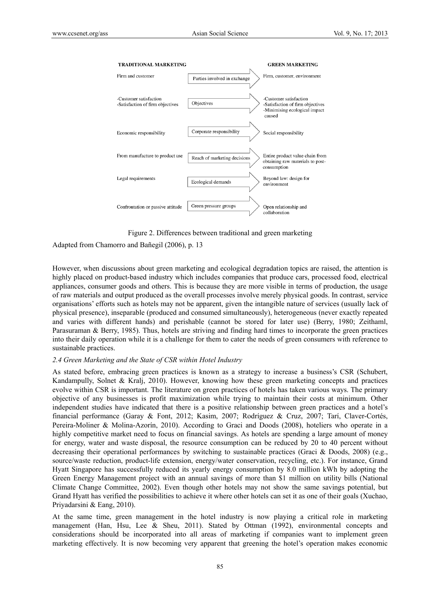

Figure 2. Differences between traditional and green marketing

Adapted from Chamorro and Bañegil (2006), p. 13

However, when discussions about green marketing and ecological degradation topics are raised, the attention is highly placed on product-based industry which includes companies that produce cars, processed food, electrical appliances, consumer goods and others. This is because they are more visible in terms of production, the usage of raw materials and output produced as the overall processes involve merely physical goods. In contrast, service organisations' efforts such as hotels may not be apparent, given the intangible nature of services (usually lack of physical presence), inseparable (produced and consumed simultaneously), heterogeneous (never exactly repeated and varies with different hands) and perishable (cannot be stored for later use) (Berry, 1980; Zeithaml, Parasuraman & Berry, 1985). Thus, hotels are striving and finding hard times to incorporate the green practices into their daily operation while it is a challenge for them to cater the needs of green consumers with reference to sustainable practices.

#### *2.4 Green Marketing and the State of CSR within Hotel Industry*

As stated before, embracing green practices is known as a strategy to increase a business's CSR (Schubert, Kandampully, Solnet & Kralj, 2010). However, knowing how these green marketing concepts and practices evolve within CSR is important. The literature on green practices of hotels has taken various ways. The primary objective of any businesses is profit maximization while trying to maintain their costs at minimum. Other independent studies have indicated that there is a positive relationship between green practices and a hotel's financial performance (Garay & Font, 2012; Kasim, 2007; Rodríguez & Cruz, 2007; Tarí, Claver-Cortés, Pereira-Moliner & Molina-Azorín, 2010). According to Graci and Doods (2008), hoteliers who operate in a highly competitive market need to focus on financial savings. As hotels are spending a large amount of money for energy, water and waste disposal, the resource consumption can be reduced by 20 to 40 percent without decreasing their operational performances by switching to sustainable practices (Graci & Doods, 2008) (e.g., source/waste reduction, product-life extension, energy/water conservation, recycling, etc.). For instance, Grand Hyatt Singapore has successfully reduced its yearly energy consumption by 8.0 million kWh by adopting the Green Energy Management project with an annual savings of more than \$1 million on utility bills (National Climate Change Committee, 2002). Even though other hotels may not show the same savings potential, but Grand Hyatt has verified the possibilities to achieve it where other hotels can set it as one of their goals (Xuchao, Priyadarsini & Eang, 2010).

At the same time, green management in the hotel industry is now playing a critical role in marketing management (Han, Hsu, Lee & Sheu, 2011). Stated by Ottman (1992), environmental concepts and considerations should be incorporated into all areas of marketing if companies want to implement green marketing effectively. It is now becoming very apparent that greening the hotel's operation makes economic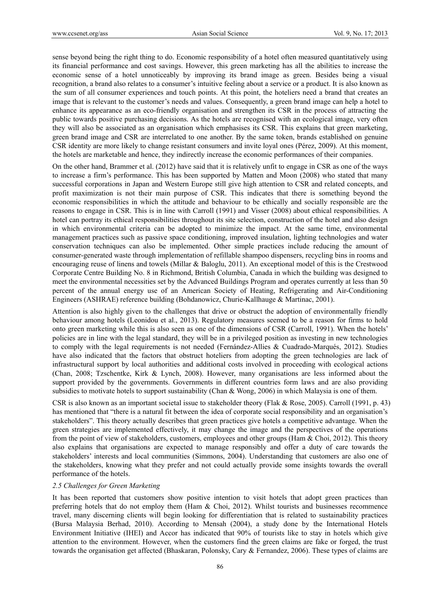sense beyond being the right thing to do. Economic responsibility of a hotel often measured quantitatively using its financial performance and cost savings. However, this green marketing has all the abilities to increase the economic sense of a hotel unnoticeably by improving its brand image as green. Besides being a visual recognition, a brand also relates to a consumer's intuitive feeling about a service or a product. It is also known as the sum of all consumer experiences and touch points. At this point, the hoteliers need a brand that creates an image that is relevant to the customer's needs and values. Consequently, a green brand image can help a hotel to enhance its appearance as an eco-friendly organisation and strengthen its CSR in the process of attracting the public towards positive purchasing decisions. As the hotels are recognised with an ecological image, very often they will also be associated as an organisation which emphasises its CSR. This explains that green marketing, green brand image and CSR are interrelated to one another. By the same token, brands established on genuine CSR identity are more likely to change resistant consumers and invite loyal ones (Pérez, 2009). At this moment, the hotels are marketable and hence, they indirectly increase the economic performances of their companies.

On the other hand, Brammer et al. (2012) have said that it is relatively unfit to engage in CSR as one of the ways to increase a firm's performance. This has been supported by Matten and Moon (2008) who stated that many successful corporations in Japan and Western Europe still give high attention to CSR and related concepts, and profit maximization is not their main purpose of CSR. This indicates that there is something beyond the economic responsibilities in which the attitude and behaviour to be ethically and socially responsible are the reasons to engage in CSR. This is in line with Carroll (1991) and Visser (2008) about ethical responsibilities. A hotel can portray its ethical responsibilities throughout its site selection, construction of the hotel and also design in which environmental criteria can be adopted to minimize the impact. At the same time, environmental management practices such as passive space conditioning, improved insulation, lighting technologies and water conservation techniques can also be implemented. Other simple practices include reducing the amount of consumer-generated waste through implementation of refillable shampoo dispensers, recycling bins in rooms and encouraging reuse of linens and towels (Millar & Baloglu, 2011). An exceptional model of this is the Crestwood Corporate Centre Building No. 8 in Richmond, British Columbia, Canada in which the building was designed to meet the environmental necessities set by the Advanced Buildings Program and operates currently at less than 50 percent of the annual energy use of an American Society of Heating, Refrigerating and Air-Conditioning Engineers (ASHRAE) reference building (Bohdanowicz, Churie-Kallhauge & Martinac, 2001).

Attention is also highly given to the challenges that drive or obstruct the adoption of environmentally friendly behaviour among hotels (Leonidou et al., 2013). Regulatory measures seemed to be a reason for firms to hold onto green marketing while this is also seen as one of the dimensions of CSR (Carroll, 1991). When the hotels' policies are in line with the legal standard, they will be in a privileged position as investing in new technologies to comply with the legal requirements is not needed (Fernández-Allies & Cuadrado-Marqués, 2012). Studies have also indicated that the factors that obstruct hoteliers from adopting the green technologies are lack of infrastructural support by local authorities and additional costs involved in proceeding with ecological actions (Chan, 2008; Tzschentke, Kirk & Lynch, 2008). However, many organisations are less informed about the support provided by the governments. Governments in different countries form laws and are also providing subsidies to motivate hotels to support sustainability (Chan & Wong, 2006) in which Malaysia is one of them.

CSR is also known as an important societal issue to stakeholder theory (Flak & Rose, 2005). Carroll (1991, p. 43) has mentioned that "there is a natural fit between the idea of corporate social responsibility and an organisation's stakeholders". This theory actually describes that green practices give hotels a competitive advantage. When the green strategies are implemented effectively, it may change the image and the perspectives of the operations from the point of view of stakeholders, customers, employees and other groups (Ham & Choi, 2012). This theory also explains that organisations are expected to manage responsibly and offer a duty of care towards the stakeholders' interests and local communities (Simmons, 2004). Understanding that customers are also one of the stakeholders, knowing what they prefer and not could actually provide some insights towards the overall performance of the hotels.

## *2.5 Challenges for Green Marketing*

It has been reported that customers show positive intention to visit hotels that adopt green practices than preferring hotels that do not employ them (Ham & Choi, 2012). Whilst tourists and businesses recommence travel, many discerning clients will begin looking for differentiation that is related to sustainability practices (Bursa Malaysia Berhad, 2010). According to Mensah (2004), a study done by the International Hotels Environment Initiative (IHEI) and Accor has indicated that 90% of tourists like to stay in hotels which give attention to the environment. However, when the customers find the green claims are fake or forged, the trust towards the organisation get affected (Bhaskaran, Polonsky, Cary & Fernandez, 2006). These types of claims are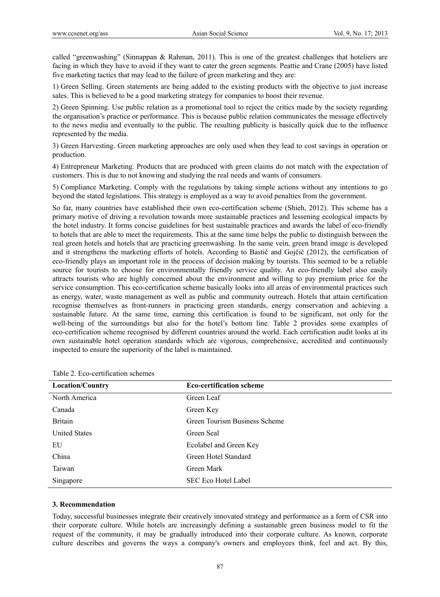called "greenwashing" (Sinnappan & Rahman, 2011). This is one of the greatest challenges that hoteliers are facing in which they have to avoid if they want to cater the green segments. Peattie and Crane (2005) have listed five marketing tactics that may lead to the failure of green marketing and they are:

1) Green Selling. Green statements are being added to the existing products with the objective to just increase sales. This is believed to be a good marketing strategy for companies to boost their revenue.

2) Green Spinning. Use public relation as a promotional tool to reject the critics made by the society regarding the organisation's practice or performance. This is because public relation communicates the message effectively to the news media and eventually to the public. The resulting publicity is basically quick due to the influence represented by the media.

3) Green Harvesting. Green marketing approaches are only used when they lead to cost savings in operation or production.

4) Entrepreneur Marketing. Products that are produced with green claims do not match with the expectation of customers. This is due to not knowing and studying the real needs and wants of consumers.

5) Compliance Marketing. Comply with the regulations by taking simple actions without any intentions to go beyond the stated legislations. This strategy is employed as a way to avoid penalties from the government.

So far, many countries have established their own eco-certification scheme (Shieh, 2012). This scheme has a primary motive of driving a revolution towards more sustainable practices and lessening ecological impacts by the hotel industry. It forms concise guidelines for best sustainable practices and awards the label of eco-friendly to hotels that are able to meet the requirements. This at the same time helps the public to distinguish between the real green hotels and hotels that are practicing greenwashing. In the same vein, green brand image is developed and it strengthens the marketing efforts of hotels. According to Bastič and Gojčič (2012), the certification of eco-friendly plays an important role in the process of decision making by tourists. This seemed to be a reliable source for tourists to choose for environmentally friendly service quality. An eco-friendly label also easily attracts tourists who are highly concerned about the environment and willing to pay premium price for the service consumption. This eco-certification scheme basically looks into all areas of environmental practices such as energy, water, waste management as well as public and community outreach. Hotels that attain certification recognise themselves as front-runners in practicing green standards, energy conservation and achieving a sustainable future. At the same time, earning this certification is found to be significant, not only for the well-being of the surroundings but also for the hotel's bottom line. Table 2 provides some examples of eco-certification scheme recognised by different countries around the world. Each certification audit looks at its own sustainable hotel operation standards which are vigorous, comprehensive, accredited and continuously inspected to ensure the superiority of the label is maintained.

| Location/Country     | <b>Eco-certification scheme</b> |
|----------------------|---------------------------------|
| North America        | Green Leaf                      |
| Canada               | Green Key                       |
| <b>Britain</b>       | Green Tourism Business Scheme   |
| <b>United States</b> | Green Seal                      |
| EU                   | Ecolabel and Green Key          |
| China                | Green Hotel Standard            |
| Taiwan               | Green Mark                      |
| Singapore            | <b>SEC Eco Hotel Label</b>      |
|                      |                                 |

| Table 2. Eco-certification schemes |  |
|------------------------------------|--|
|------------------------------------|--|

#### **3. Recommendation**

Today, successful businesses integrate their creatively innovated strategy and performance as a form of CSR into their corporate culture. While hotels are increasingly defining a sustainable green business model to fit the request of the community, it may be gradually introduced into their corporate culture. As known, corporate culture describes and governs the ways a company's owners and employees think, feel and act. By this,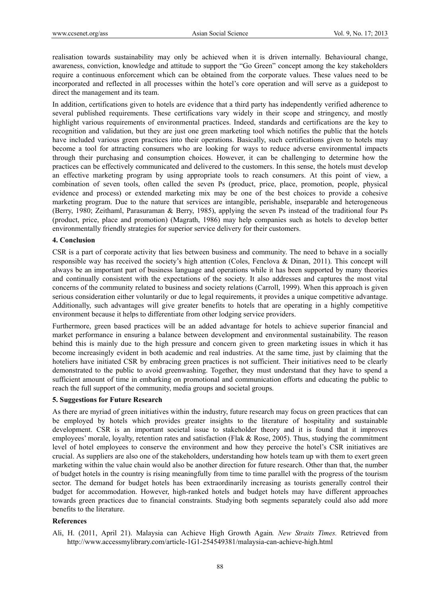realisation towards sustainability may only be achieved when it is driven internally. Behavioural change, awareness, conviction, knowledge and attitude to support the "Go Green" concept among the key stakeholders require a continuous enforcement which can be obtained from the corporate values. These values need to be incorporated and reflected in all processes within the hotel's core operation and will serve as a guidepost to direct the management and its team.

In addition, certifications given to hotels are evidence that a third party has independently verified adherence to several published requirements. These certifications vary widely in their scope and stringency, and mostly highlight various requirements of environmental practices. Indeed, standards and certifications are the key to recognition and validation, but they are just one green marketing tool which notifies the public that the hotels have included various green practices into their operations. Basically, such certifications given to hotels may become a tool for attracting consumers who are looking for ways to reduce adverse environmental impacts through their purchasing and consumption choices. However, it can be challenging to determine how the practices can be effectively communicated and delivered to the customers. In this sense, the hotels must develop an effective marketing program by using appropriate tools to reach consumers. At this point of view, a combination of seven tools, often called the seven Ps (product, price, place, promotion, people, physical evidence and process) or extended marketing mix may be one of the best choices to provide a cohesive marketing program. Due to the nature that services are intangible, perishable, inseparable and heterogeneous (Berry, 1980; Zeithaml, Parasuraman & Berry, 1985), applying the seven Ps instead of the traditional four Ps (product, price, place and promotion) (Magrath, 1986) may help companies such as hotels to develop better environmentally friendly strategies for superior service delivery for their customers.

## **4. Conclusion**

CSR is a part of corporate activity that lies between business and community. The need to behave in a socially responsible way has received the society's high attention (Coles, Fenclova & Dinan, 2011). This concept will always be an important part of business language and operations while it has been supported by many theories and continually consistent with the expectations of the society. It also addresses and captures the most vital concerns of the community related to business and society relations (Carroll, 1999). When this approach is given serious consideration either voluntarily or due to legal requirements, it provides a unique competitive advantage. Additionally, such advantages will give greater benefits to hotels that are operating in a highly competitive environment because it helps to differentiate from other lodging service providers.

Furthermore, green based practices will be an added advantage for hotels to achieve superior financial and market performance in ensuring a balance between development and environmental sustainability. The reason behind this is mainly due to the high pressure and concern given to green marketing issues in which it has become increasingly evident in both academic and real industries. At the same time, just by claiming that the hoteliers have initiated CSR by embracing green practices is not sufficient. Their initiatives need to be clearly demonstrated to the public to avoid greenwashing. Together, they must understand that they have to spend a sufficient amount of time in embarking on promotional and communication efforts and educating the public to reach the full support of the community, media groups and societal groups.

### **5. Suggestions for Future Research**

As there are myriad of green initiatives within the industry, future research may focus on green practices that can be employed by hotels which provides greater insights to the literature of hospitality and sustainable development. CSR is an important societal issue to stakeholder theory and it is found that it improves employees' morale, loyalty, retention rates and satisfaction (Flak & Rose, 2005). Thus, studying the commitment level of hotel employees to conserve the environment and how they perceive the hotel's CSR initiatives are crucial. As suppliers are also one of the stakeholders, understanding how hotels team up with them to exert green marketing within the value chain would also be another direction for future research. Other than that, the number of budget hotels in the country is rising meaningfully from time to time parallel with the progress of the tourism sector. The demand for budget hotels has been extraordinarily increasing as tourists generally control their budget for accommodation. However, high-ranked hotels and budget hotels may have different approaches towards green practices due to financial constraints. Studying both segments separately could also add more benefits to the literature.

## **References**

Ali, H. (2011, April 21). Malaysia can Achieve High Growth Again*. New Straits Times.* Retrieved from http://www.accessmylibrary.com/article-1G1-254549381/malaysia-can-achieve-high.html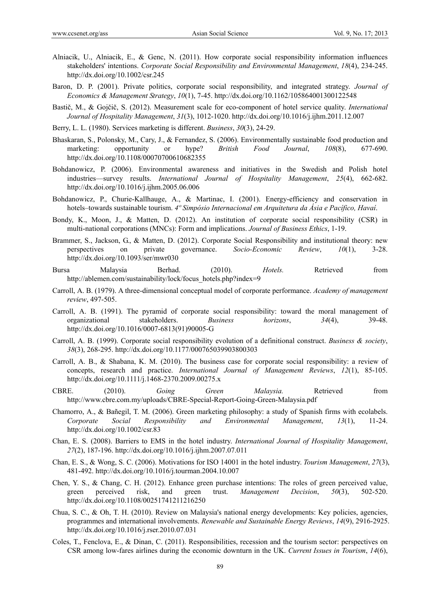- Alniacik, U., Alniacik, E., & Genc, N. (2011). How corporate social responsibility information influences stakeholders' intentions. *Corporate Social Responsibility and Environmental Management*, *18*(4), 234-245. http://dx.doi.org/10.1002/csr.245
- Baron, D. P. (2001). Private politics, corporate social responsibility, and integrated strategy. *Journal of Economics & Management Strategy*, *10*(1), 7-45. http://dx.doi.org/10.1162/105864001300122548
- Bastič, M., & Gojčič, S. (2012). Measurement scale for eco-component of hotel service quality. *International Journal of Hospitality Management*, *31*(3), 1012-1020. http://dx.doi.org/10.1016/j.ijhm.2011.12.007
- Berry, L. L. (1980). Services marketing is different. *Business*, *30*(3), 24-29.
- Bhaskaran, S., Polonsky, M., Cary, J., & Fernandez, S. (2006). Environmentally sustainable food production and marketing: opportunity or hype? *British Food Journal*, *108*(8), 677-690. http://dx.doi.org/10.1108/00070700610682355
- Bohdanowicz, P. (2006). Environmental awareness and initiatives in the Swedish and Polish hotel industries—survey results. *International Journal of Hospitality Management*, *25*(4), 662-682. http://dx.doi.org/10.1016/j.ijhm.2005.06.006
- Bohdanowicz, P., Churie-Kallhauge, A., & Martinac, I. (2001). Energy-efficiency and conservation in hotels–towards sustainable tourism. *4º Simpósio Internacional em Arquitetura da Ásia e Pacífico, Havaí*.
- Bondy, K., Moon, J., & Matten, D. (2012). An institution of corporate social responsibility (CSR) in multi-national corporations (MNCs): Form and implications. *Journal of Business Ethics*, 1-19.
- Brammer, S., Jackson, G., & Matten, D. (2012). Corporate Social Responsibility and institutional theory: new perspectives on private governance. Socio-Economic Review, 10(1), 3-28. perspectives on private governance. *Socio-Economic Review*, *10*(1), 3-28. http://dx.doi.org/10.1093/ser/mwr030
- Bursa Malaysia Berhad. (2010). *Hotels.* Retrieved from http://ablemen.com/sustainability/lock/focus\_hotels.php?index=9
- Carroll, A. B. (1979). A three-dimensional conceptual model of corporate performance. *Academy of management review*, 497-505.
- Carroll, A. B. (1991). The pyramid of corporate social responsibility: toward the moral management of organizational stakeholders. *Business horizons*, *34*(4), 39-48. http://dx.doi.org/10.1016/0007-6813(91)90005-G
- Carroll, A. B. (1999). Corporate social responsibility evolution of a definitional construct. *Business & society*, *38*(3), 268-295. http://dx.doi.org/10.1177/000765039903800303
- Carroll, A. B., & Shabana, K. M. (2010). The business case for corporate social responsibility: a review of concepts, research and practice. *International Journal of Management Reviews*, *12*(1), 85-105. http://dx.doi.org/10.1111/j.1468-2370.2009.00275.x
- CBRE. (2010). *Going Green Malaysia.* Retrieved from http://www.cbre.com.my/uploads/CBRE-Special-Report-Going-Green-Malaysia.pdf
- Chamorro, A., & Bañegil, T. M. (2006). Green marketing philosophy: a study of Spanish firms with ecolabels. *Corporate Social Responsibility and Environmental Management*, *13*(1), 11-24. http://dx.doi.org/10.1002/csr.83
- Chan, E. S. (2008). Barriers to EMS in the hotel industry. *International Journal of Hospitality Management*, *27*(2), 187-196. http://dx.doi.org/10.1016/j.ijhm.2007.07.011
- Chan, E. S., & Wong, S. C. (2006). Motivations for ISO 14001 in the hotel industry. *Tourism Management*, *27*(3), 481-492. http://dx.doi.org/10.1016/j.tourman.2004.10.007
- Chen, Y. S., & Chang, C. H. (2012). Enhance green purchase intentions: The roles of green perceived value, green perceived risk, and green trust. *Management Decision*, *50*(3), 502-520. http://dx.doi.org/10.1108/00251741211216250
- Chua, S. C., & Oh, T. H. (2010). Review on Malaysia's national energy developments: Key policies, agencies, programmes and international involvements. *Renewable and Sustainable Energy Reviews*, *14*(9), 2916-2925. http://dx.doi.org/10.1016/j.rser.2010.07.031
- Coles, T., Fenclova, E., & Dinan, C. (2011). Responsibilities, recession and the tourism sector: perspectives on CSR among low-fares airlines during the economic downturn in the UK. *Current Issues in Tourism*, *14*(6),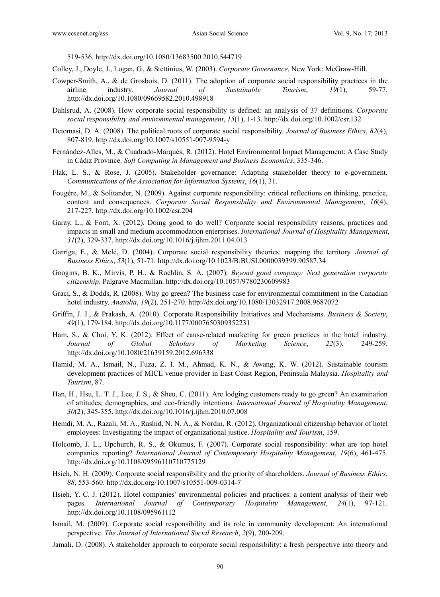519-536. http://dx.doi.org/10.1080/13683500.2010.544719

- Colley, J., Doyle, J., Logan, G., & Stettinius, W. (2003). *Corporate Governance*. New York: McGraw-Hill.
- Cowper-Smith, A., & de Grosbois, D. (2011). The adoption of corporate social responsibility practices in the airline industry. *Journal of Sustainable Tourism*, *19*(1), 59-77. http://dx.doi.org/10.1080/09669582.2010.498918
- Dahlsrud, A. (2008). How corporate social responsibility is defined: an analysis of 37 definitions. *Corporate social responsibility and environmental management*, *15*(1), 1-13. http://dx.doi.org/10.1002/csr.132
- Detomasi, D. A. (2008). The political roots of corporate social responsibility. *Journal of Business Ethics*, *82*(4), 807-819. http://dx.doi.org/10.1007/s10551-007-9594-y
- Fernández-Alles, M., & Cuadrado-Marqués, R. (2012). Hotel Environmental Impact Management: A Case Study in Cádiz Province. *Soft Computing in Management and Business Economics*, 335-346.
- Flak, L. S., & Rose, J. (2005). Stakeholder governance: Adapting stakeholder theory to e-government. *Communications of the Association for Information Systems*, *16*(1), 31.
- Fougère, M., & Solitander, N. (2009). Against corporate responsibility: critical reflections on thinking, practice, content and consequences. *Corporate Social Responsibility and Environmental Management*, *16*(4), 217-227. http://dx.doi.org/10.1002/csr.204
- Garay, L., & Font, X. (2012). Doing good to do well? Corporate social responsibility reasons, practices and impacts in small and medium accommodation enterprises. *International Journal of Hospitality Management*, *31*(2), 329-337. http://dx.doi.org/10.1016/j.ijhm.2011.04.013
- Garriga, E., & Melé, D. (2004). Corporate social responsibility theories: mapping the territory. *Journal of Business Ethics*, *53*(1), 51-71. http://dx.doi.org/10.1023/B:BUSI.0000039399.90587.34
- Googins, B. K., Mirvis, P. H., & Rochlin, S. A. (2007). *Beyond good company: Next generation corporate citizenship*. Palgrave Macmillan. http://dx.doi.org/10.1057/9780230609983
- Graci, S., & Dodds, R. (2008). Why go green? The business case for environmental commitment in the Canadian hotel industry. *Anatolia*, *19*(2), 251-270. http://dx.doi.org/10.1080/13032917.2008.9687072
- Griffin, J. J., & Prakash, A. (2010). Corporate Responsibility Initiatives and Mechanisms. *Business & Society*, *49*(1), 179-184. http://dx.doi.org/10.1177/0007650309352231
- Ham, S., & Choi, Y. K. (2012). Effect of cause-related marketing for green practices in the hotel industry. *Journal of Global Scholars of Marketing Science*, *22*(3), 249-259. http://dx.doi.org/10.1080/21639159.2012.696338
- Hamid, M. A., Ismail, N., Fuza, Z. I. M., Ahmad, K. N., & Awang, K. W. (2012). Sustainable tourism development practices of MICE venue provider in East Coast Region, Peninsula Malaysia. *Hospitality and Tourism*, 87.
- Han, H., Hsu, L. T. J., Lee, J. S., & Sheu, C. (2011). Are lodging customers ready to go green? An examination of attitudes, demographics, and eco-friendly intentions. *International Journal of Hospitality Management*, *30*(2), 345-355. http://dx.doi.org/10.1016/j.ijhm.2010.07.008
- Hemdi, M. A., Razali, M. A., Rashid, N. N. A., & Nordin, R. (2012). Organizational citizenship behavior of hotel employees: Investigating the impact of organizational justice. *Hospitality and Tourism*, 159.
- Holcomb, J. L., Upchurch, R. S., & Okumus, F. (2007). Corporate social responsibility: what are top hotel companies reporting? *International Journal of Contemporary Hospitality Management*, *19*(6), 461-475. http://dx.doi.org/10.1108/09596110710775129
- Hsieh, N. H. (2009). Corporate social responsibility and the priority of shareholders. *Journal of Business Ethics*, *88*, 553-560. http://dx.doi.org/10.1007/s10551-009-0314-7
- Hsieh, Y. C. J. (2012). Hotel companies' environmental policies and practices: a content analysis of their web pages. *International Journal of Contemporary Hospitality Management*, *24*(1), 97-121. http://dx.doi.org/10.1108/095961112
- Ismail, M. (2009). Corporate social responsibility and its role in community development: An international perspective. *The Journal of International Social Research*, *2*(9), 200-209.
- Jamali, D. (2008). A stakeholder approach to corporate social responsibility: a fresh perspective into theory and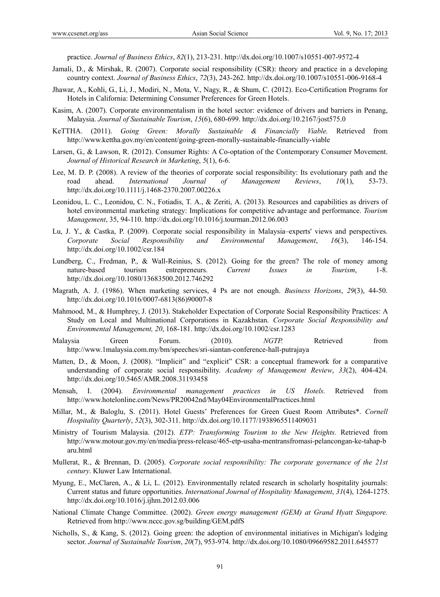practice. *Journal of Business Ethics*, *82*(1), 213-231. http://dx.doi.org/10.1007/s10551-007-9572-4

- Jamali, D., & Mirshak, R. (2007). Corporate social responsibility (CSR): theory and practice in a developing country context. *Journal of Business Ethics*, *72*(3), 243-262. http://dx.doi.org/10.1007/s10551-006-9168-4
- Jhawar, A., Kohli, G., Li, J., Modiri, N., Mota, V., Nagy, R., & Shum, C. (2012). Eco-Certification Programs for Hotels in California: Determining Consumer Preferences for Green Hotels.
- Kasim, A. (2007). Corporate environmentalism in the hotel sector: evidence of drivers and barriers in Penang, Malaysia. *Journal of Sustainable Tourism*, *15*(6), 680-699. http://dx.doi.org/10.2167/jost575.0
- KeTTHA. (2011). *Going Green: Morally Sustainable & Financially Viable.* Retrieved from http://www.kettha.gov.my/en/content/going-green-morally-sustainable-financially-viable
- Larsen, G., & Lawson, R. (2012). Consumer Rights: A Co-optation of the Contemporary Consumer Movement. *Journal of Historical Research in Marketing*, *5*(1), 6-6.
- Lee, M. D. P. (2008). A review of the theories of corporate social responsibility: Its evolutionary path and the road ahead. *International Journal of Management Reviews*, *10*(1), 53-73. http://dx.doi.org/10.1111/j.1468-2370.2007.00226.x
- Leonidou, L. C., Leonidou, C. N., Fotiadis, T. A., & Zeriti, A. (2013). Resources and capabilities as drivers of hotel environmental marketing strategy: Implications for competitive advantage and performance. *Tourism Management*, 35, 94-110. http://dx.doi.org/10.1016/j.tourman.2012.06.003
- Lu, J. Y., & Castka, P. (2009). Corporate social responsibility in Malaysia–experts' views and perspectives. *Corporate Social Responsibility and Environmental Management*, *16*(3), 146-154. http://dx.doi.org/10.1002/csr.184
- Lundberg, C., Fredman, P., & Wall-Reinius, S. (2012). Going for the green? The role of money among nature-based tourism entrepreneurs. *Current Issues in Tourism*, 1-8. http://dx.doi.org/10.1080/13683500.2012.746292
- Magrath, A. J. (1986). When marketing services, 4 Ps are not enough. *Business Horizons*, *29*(3), 44-50. http://dx.doi.org/10.1016/0007-6813(86)90007-8
- Mahmood, M., & Humphrey, J. (2013). Stakeholder Expectation of Corporate Social Responsibility Practices: A Study on Local and Multinational Corporations in Kazakhstan. *Corporate Social Responsibility and Environmental Management, 20*, 168-181. http://dx.doi.org/10.1002/csr.1283
- Malaysia Green Forum. (2010). *NGTP.* Retrieved from http://www.1malaysia.com.my/bm/speeches/sri-siantan-conference-hall-putrajaya
- Matten, D., & Moon, J. (2008). "Implicit" and "explicit" CSR: a conceptual framework for a comparative understanding of corporate social responsibility. *Academy of Management Review*, *33*(2), 404-424. http://dx.doi.org/10.5465/AMR.2008.31193458
- Mensah, I. (2004). *Environmental management practices in US Hotels.* Retrieved from http://www.hotelonline.com/News/PR20042nd/May04EnvironmentalPractices.html
- Millar, M., & Baloglu, S. (2011). Hotel Guests' Preferences for Green Guest Room Attributes\*. *Cornell Hospitality Quarterly*, *52*(3), 302-311. http://dx.doi.org/10.1177/1938965511409031
- Ministry of Tourism Malaysia. (2012). *ETP: Transforming Tourism to the New Heights.* Retrieved from http://www.motour.gov.my/en/media/press-release/465-etp-usaha-mentransfromasi-pelancongan-ke-tahap-b aru.html
- Mullerat, R., & Brennan, D. (2005). *Corporate social responsibility: The corporate governance of the 21st century*. Kluwer Law International.
- Myung, E., McClaren, A., & Li, L. (2012). Environmentally related research in scholarly hospitality journals: Current status and future opportunities. *International Journal of Hospitality Management*, *31*(4), 1264-1275. http://dx.doi.org/10.1016/j.ijhm.2012.03.006
- National Climate Change Committee. (2002). *Green energy management (GEM) at Grand Hyatt Singapore.* Retrieved from http://www.nccc.gov.sg/building/GEM.pdfS
- Nicholls, S., & Kang, S. (2012). Going green: the adoption of environmental initiatives in Michigan's lodging sector. *Journal of Sustainable Tourism*, *20*(7), 953-974. http://dx.doi.org/10.1080/09669582.2011.645577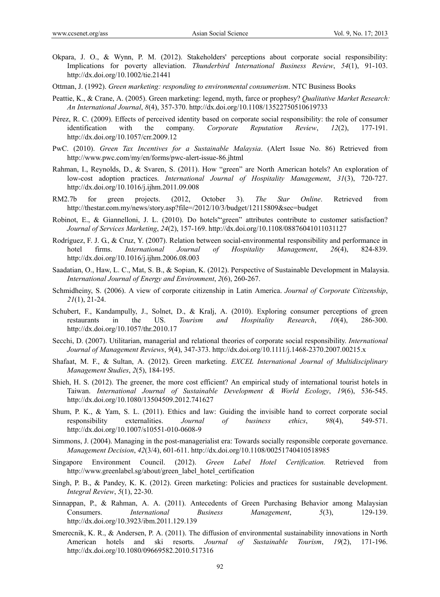- Okpara, J. O., & Wynn, P. M. (2012). Stakeholders' perceptions about corporate social responsibility: Implications for poverty alleviation. *Thunderbird International Business Review*, *54*(1), 91-103. http://dx.doi.org/10.1002/tie.21441
- Ottman, J. (1992). *Green marketing: responding to environmental consumerism*. NTC Business Books
- Peattie, K., & Crane, A. (2005). Green marketing: legend, myth, farce or prophesy? *Qualitative Market Research: An International Journal*, *8*(4), 357-370. http://dx.doi.org/10.1108/13522750510619733
- Pérez, R. C. (2009). Effects of perceived identity based on corporate social responsibility: the role of consumer identification with the company. *Corporate Reputation Review*, *12*(2), 177-191. http://dx.doi.org/10.1057/crr.2009.12
- PwC. (2010). *Green Tax Incentives for a Sustainable Malaysia*. (Alert Issue No. 86) Retrieved from http://www.pwc.com/my/en/forms/pwc-alert-issue-86.jhtml
- Rahman, I., Reynolds, D., & Svaren, S. (2011). How "green" are North American hotels? An exploration of low-cost adoption practices. *International Journal of Hospitality Management*, *31*(3), 720-727. http://dx.doi.org/10.1016/j.ijhm.2011.09.008
- RM2.7b for green projects. (2012, October 3). *The Star Online*. Retrieved from http://thestar.com.my/news/story.asp?file=/2012/10/3/budget/12115809&sec=budget
- Robinot, E., & Giannelloni, J. L. (2010). Do hotels'"green" attributes contribute to customer satisfaction? *Journal of Services Marketing*, *24*(2), 157-169. http://dx.doi.org/10.1108/08876041011031127
- Rodríguez, F. J. G., & Cruz, Y. (2007). Relation between social-environmental responsibility and performance in hotel firms. *International Journal of Hospitality Management*, *26*(4), 824-839. http://dx.doi.org/10.1016/j.ijhm.2006.08.003
- Saadatian, O., Haw, L. C., Mat, S. B., & Sopian, K. (2012). Perspective of Sustainable Development in Malaysia. *International Journal of Energy and Environment*, *2*(6), 260-267.
- Schmidheiny, S. (2006). A view of corporate citizenship in Latin America. *Journal of Corporate Citizenship*, *21*(1), 21-24.
- Schubert, F., Kandampully, J., Solnet, D., & Kralj, A. (2010). Exploring consumer perceptions of green restaurants in the US. *Tourism and Hospitality Research*, *10*(4), 286-300. http://dx.doi.org/10.1057/thr.2010.17
- Secchi, D. (2007). Utilitarian, managerial and relational theories of corporate social responsibility. *International Journal of Management Reviews*, *9*(4), 347-373. http://dx.doi.org/10.1111/j.1468-2370.2007.00215.x
- Shafaat, M. F., & Sultan, A. (2012). Green marketing. *EXCEL International Journal of Multidisciplinary Management Studies*, *2*(5), 184-195.
- Shieh, H. S. (2012). The greener, the more cost efficient? An empirical study of international tourist hotels in Taiwan. *International Journal of Sustainable Development & World Ecology*, *19*(6), 536-545. http://dx.doi.org/10.1080/13504509.2012.741627
- Shum, P. K., & Yam, S. L. (2011). Ethics and law: Guiding the invisible hand to correct corporate social responsibility externalities. *Journal of business ethics*, *98*(4), 549-571. http://dx.doi.org/10.1007/s10551-010-0608-9
- Simmons, J. (2004). Managing in the post-managerialist era: Towards socially responsible corporate governance. *Management Decision*, *42*(3/4), 601-611. http://dx.doi.org/10.1108/00251740410518985
- Singapore Environment Council. (2012). *Green Label Hotel Certification.* Retrieved from http://www.greenlabel.sg/about/green\_label\_hotel\_certification
- Singh, P. B., & Pandey, K. K. (2012). Green marketing: Policies and practices for sustainable development. *Integral Review*, *5*(1), 22-30.
- Sinnappan, P., & Rahman, A. A. (2011). Antecedents of Green Purchasing Behavior among Malaysian Consumers. *International Business Management*, *5*(3), 129-139. http://dx.doi.org/10.3923/ibm.2011.129.139
- Smerecnik, K. R., & Andersen, P. A. (2011). The diffusion of environmental sustainability innovations in North American hotels and ski resorts. *Journal of Sustainable Tourism*, *19*(2), 171-196. http://dx.doi.org/10.1080/09669582.2010.517316